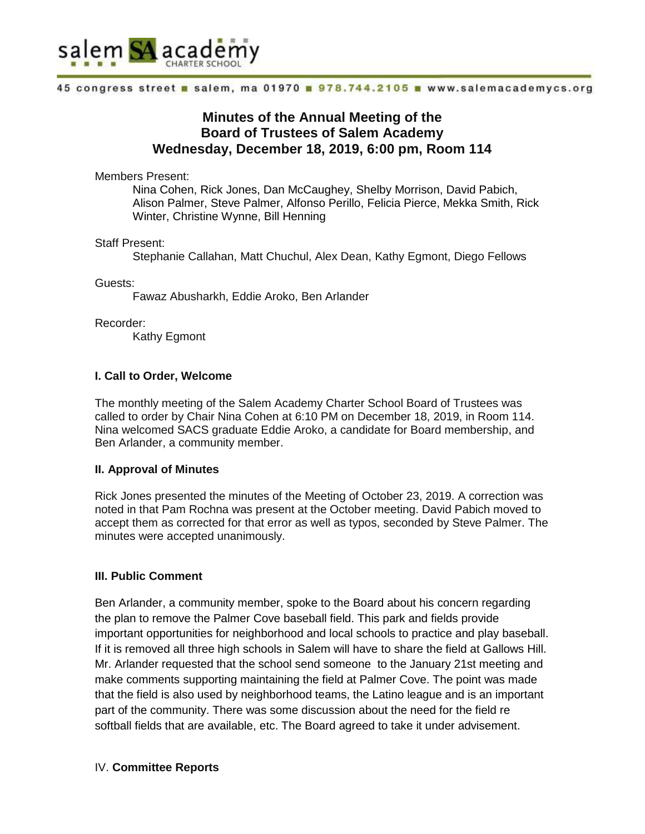

#### 45 congress street a salem, ma 01970 a 978.744.2105 a www.salemacademycs.org

# **Minutes of the Annual Meeting of the Board of Trustees of Salem Academy Wednesday, December 18, 2019, 6:00 pm, Room 114**

Members Present:

Nina Cohen, Rick Jones, Dan McCaughey, Shelby Morrison, David Pabich, Alison Palmer, Steve Palmer, Alfonso Perillo, Felicia Pierce, Mekka Smith, Rick Winter, Christine Wynne, Bill Henning

Staff Present:

Stephanie Callahan, Matt Chuchul, Alex Dean, Kathy Egmont, Diego Fellows

Guests:

Fawaz Abusharkh, Eddie Aroko, Ben Arlander

Recorder:

Kathy Egmont

# **I. Call to Order, Welcome**

The monthly meeting of the Salem Academy Charter School Board of Trustees was called to order by Chair Nina Cohen at 6:10 PM on December 18, 2019, in Room 114. Nina welcomed SACS graduate Eddie Aroko, a candidate for Board membership, and Ben Arlander, a community member.

# **II. Approval of Minutes**

Rick Jones presented the minutes of the Meeting of October 23, 2019. A correction was noted in that Pam Rochna was present at the October meeting. David Pabich moved to accept them as corrected for that error as well as typos, seconded by Steve Palmer. The minutes were accepted unanimously.

# **III. Public Comment**

Ben Arlander, a community member, spoke to the Board about his concern regarding the plan to remove the Palmer Cove baseball field. This park and fields provide important opportunities for neighborhood and local schools to practice and play baseball. If it is removed all three high schools in Salem will have to share the field at Gallows Hill. Mr. Arlander requested that the school send someone to the January 21st meeting and make comments supporting maintaining the field at Palmer Cove. The point was made that the field is also used by neighborhood teams, the Latino league and is an important part of the community. There was some discussion about the need for the field re softball fields that are available, etc. The Board agreed to take it under advisement.

# IV. **Committee Reports**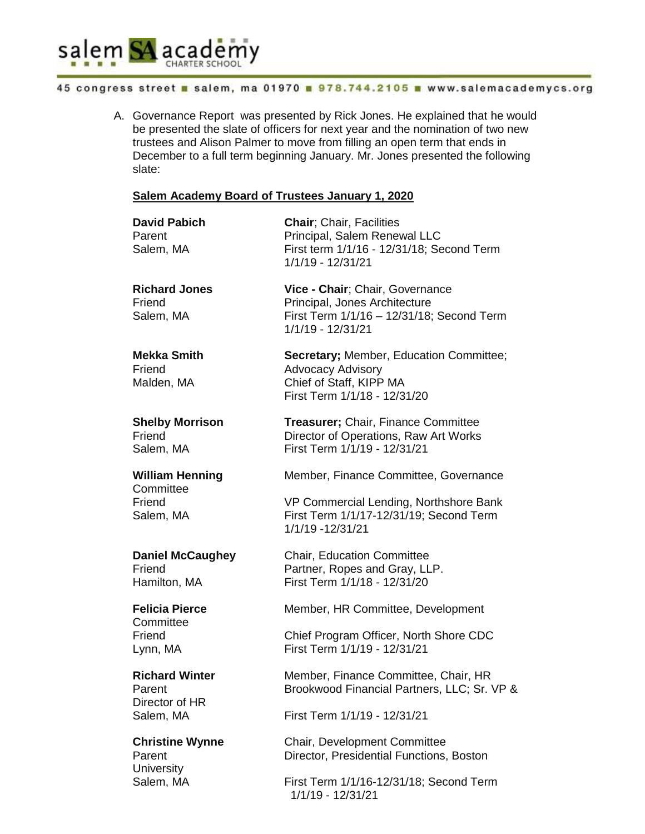

Director of HR

**University** 

#### 45 congress street as salem, ma 01970 a 978.744.2105 a www.salemacademycs.org

A. Governance Report was presented by Rick Jones. He explained that he would be presented the slate of officers for next year and the nomination of two new trustees and Alison Palmer to move from filling an open term that ends in December to a full term beginning January. Mr. Jones presented the following slate:

### **Salem Academy Board of Trustees January 1, 2020**

| <b>David Pabich</b><br>Parent<br>Salem, MA  | <b>Chair: Chair, Facilities</b><br>Principal, Salem Renewal LLC<br>First term 1/1/16 - 12/31/18; Second Term<br>1/1/19 - 12/31/21  |
|---------------------------------------------|------------------------------------------------------------------------------------------------------------------------------------|
| <b>Richard Jones</b><br>Friend<br>Salem, MA | Vice - Chair; Chair, Governance<br>Principal, Jones Architecture<br>First Term 1/1/16 - 12/31/18; Second Term<br>1/1/19 - 12/31/21 |
| <b>Mekka Smith</b><br>Friend<br>Malden, MA  | <b>Secretary; Member, Education Committee;</b><br>Advocacy Advisory<br>Chief of Staff, KIPP MA<br>First Term 1/1/18 - 12/31/20     |
| <b>Shelby Morrison</b>                      | <b>Treasurer; Chair, Finance Committee</b>                                                                                         |
| Friend                                      | Director of Operations, Raw Art Works                                                                                              |
| Salem, MA                                   | First Term 1/1/19 - 12/31/21                                                                                                       |
| <b>William Henning</b>                      | Member, Finance Committee, Governance                                                                                              |
| Committee                                   | VP Commercial Lending, Northshore Bank                                                                                             |
| Friend                                      | First Term 1/1/17-12/31/19; Second Term                                                                                            |
| Salem, MA                                   | 1/1/19 -12/31/21                                                                                                                   |
| <b>Daniel McCaughey</b>                     | <b>Chair, Education Committee</b>                                                                                                  |
| Friend                                      | Partner, Ropes and Gray, LLP.                                                                                                      |
| Hamilton, MA                                | First Term 1/1/18 - 12/31/20                                                                                                       |
| <b>Felicia Pierce</b><br>Committee          | Member, HR Committee, Development                                                                                                  |
| Friend                                      | Chief Program Officer, North Shore CDC                                                                                             |
| Lynn, MA                                    | First Term 1/1/19 - 12/31/21                                                                                                       |
| <b>Richard Winter</b>                       | Member, Finance Committee, Chair, HR                                                                                               |
| Parent                                      | Brookwood Financial Partners, LLC; Sr. VP &                                                                                        |

Salem, MA First Term 1/1/19 - 12/31/21

**Christine Wynne** Chair, Development Committee Parent **Director, Presidential Functions, Boston** 

Salem, MA First Term 1/1/16-12/31/18; Second Term 1/1/19 - 12/31/21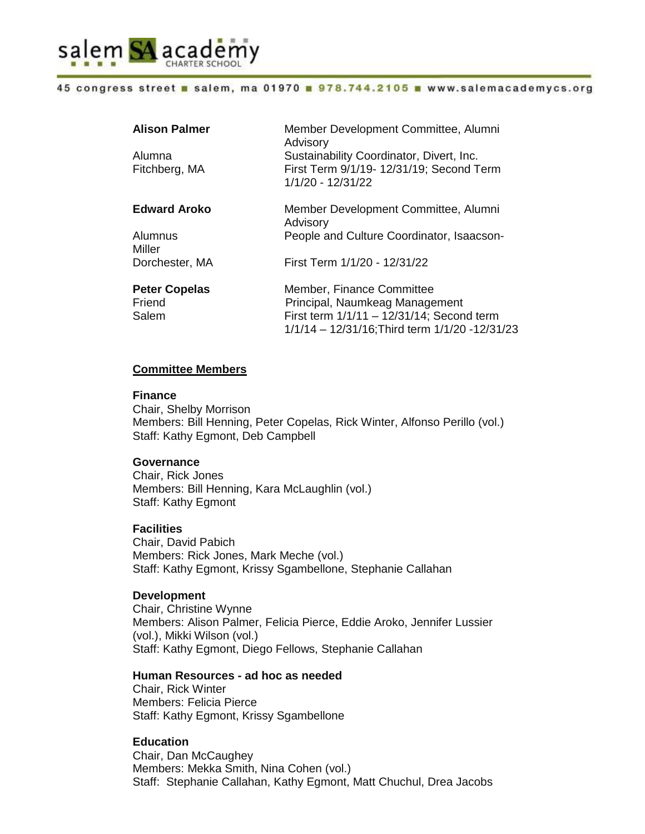

#### 45 congress street as salem, ma 01970 a 978.744.2105 a www.salemacademycs.org

| <b>Alison Palmer</b>                    | Member Development Committee, Alumni<br>Advisory                                                                                                            |
|-----------------------------------------|-------------------------------------------------------------------------------------------------------------------------------------------------------------|
| Alumna<br>Fitchberg, MA                 | Sustainability Coordinator, Divert, Inc.<br>First Term 9/1/19- 12/31/19; Second Term<br>1/1/20 - 12/31/22                                                   |
| <b>Edward Aroko</b>                     | Member Development Committee, Alumni<br>Advisory                                                                                                            |
| Alumnus<br>Miller                       | People and Culture Coordinator, Isaacson-                                                                                                                   |
| Dorchester, MA                          | First Term 1/1/20 - 12/31/22                                                                                                                                |
| <b>Peter Copelas</b><br>Friend<br>Salem | Member, Finance Committee<br>Principal, Naumkeag Management<br>First term 1/1/11 - 12/31/14; Second term<br>1/1/14 - 12/31/16; Third term 1/1/20 - 12/31/23 |

# **Committee Members**

#### **Finance**

Chair, Shelby Morrison Members: Bill Henning, Peter Copelas, Rick Winter, Alfonso Perillo (vol.) Staff: Kathy Egmont, Deb Campbell

### **Governance**

Chair, Rick Jones Members: Bill Henning, Kara McLaughlin (vol.) Staff: Kathy Egmont

#### **Facilities**

Chair, David Pabich Members: Rick Jones, Mark Meche (vol.) Staff: Kathy Egmont, Krissy Sgambellone, Stephanie Callahan

#### **Development**

Chair, Christine Wynne Members: Alison Palmer, Felicia Pierce, Eddie Aroko, Jennifer Lussier (vol.), Mikki Wilson (vol.) Staff: Kathy Egmont, Diego Fellows, Stephanie Callahan

#### **Human Resources - ad hoc as needed**

Chair, Rick Winter Members: Felicia Pierce Staff: Kathy Egmont, Krissy Sgambellone

# **Education**

Chair, Dan McCaughey Members: Mekka Smith, Nina Cohen (vol.) Staff: Stephanie Callahan, Kathy Egmont, Matt Chuchul, Drea Jacobs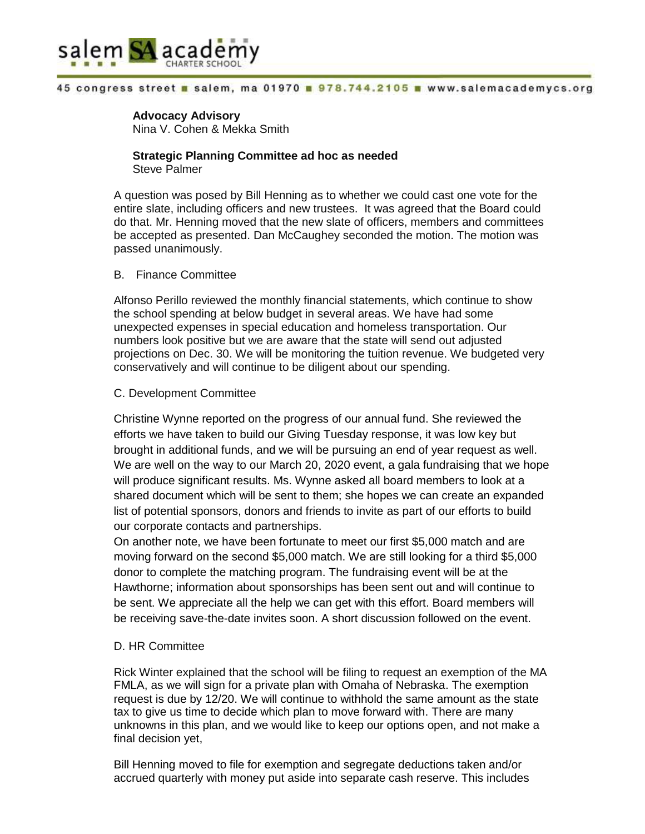

#### 45 congress street a salem, ma 01970 a 978.744.2105 a www.salemacademycs.org

# **Advocacy Advisory**

Nina V. Cohen & Mekka Smith

### **Strategic Planning Committee ad hoc as needed** Steve Palmer

A question was posed by Bill Henning as to whether we could cast one vote for the entire slate, including officers and new trustees. It was agreed that the Board could do that. Mr. Henning moved that the new slate of officers, members and committees be accepted as presented. Dan McCaughey seconded the motion. The motion was passed unanimously.

#### B. Finance Committee

Alfonso Perillo reviewed the monthly financial statements, which continue to show the school spending at below budget in several areas. We have had some unexpected expenses in special education and homeless transportation. Our numbers look positive but we are aware that the state will send out adjusted projections on Dec. 30. We will be monitoring the tuition revenue. We budgeted very conservatively and will continue to be diligent about our spending.

### C. Development Committee

Christine Wynne reported on the progress of our annual fund. She reviewed the efforts we have taken to build our Giving Tuesday response, it was low key but brought in additional funds, and we will be pursuing an end of year request as well. We are well on the way to our March 20, 2020 event, a gala fundraising that we hope will produce significant results. Ms. Wynne asked all board members to look at a shared document which will be sent to them; she hopes we can create an expanded list of potential sponsors, donors and friends to invite as part of our efforts to build our corporate contacts and partnerships.

On another note, we have been fortunate to meet our first \$5,000 match and are moving forward on the second \$5,000 match. We are still looking for a third \$5,000 donor to complete the matching program. The fundraising event will be at the Hawthorne; information about sponsorships has been sent out and will continue to be sent. We appreciate all the help we can get with this effort. Board members will be receiving save-the-date invites soon. A short discussion followed on the event.

# D. HR Committee

Rick Winter explained that the school will be filing to request an exemption of the MA FMLA, as we will sign for a private plan with Omaha of Nebraska. The exemption request is due by 12/20. We will continue to withhold the same amount as the state tax to give us time to decide which plan to move forward with. There are many unknowns in this plan, and we would like to keep our options open, and not make a final decision yet,

Bill Henning moved to file for exemption and segregate deductions taken and/or accrued quarterly with money put aside into separate cash reserve. This includes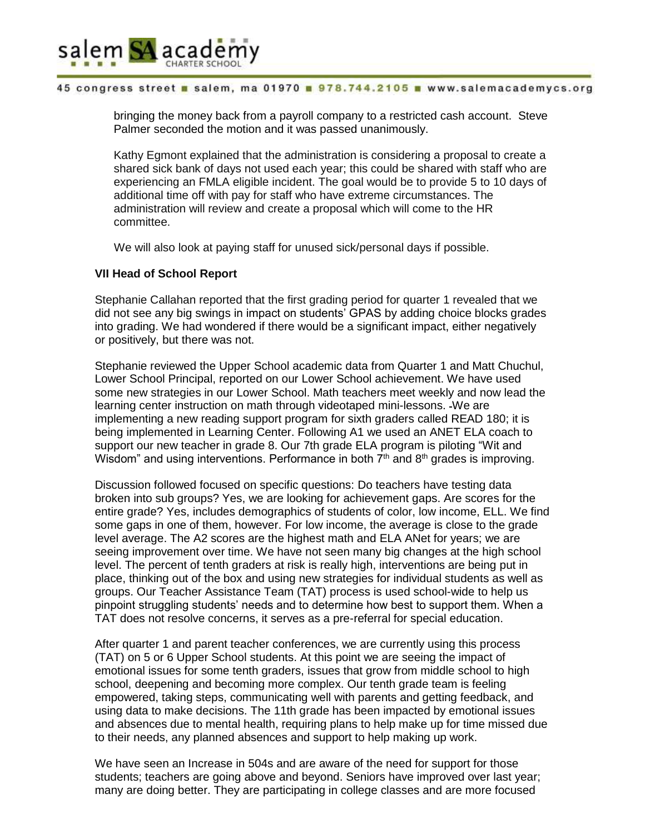

#### 45 congress street a salem, ma 01970 a 978.744.2105 a www.salemacademycs.org

bringing the money back from a payroll company to a restricted cash account. Steve Palmer seconded the motion and it was passed unanimously.

Kathy Egmont explained that the administration is considering a proposal to create a shared sick bank of days not used each year; this could be shared with staff who are experiencing an FMLA eligible incident. The goal would be to provide 5 to 10 days of additional time off with pay for staff who have extreme circumstances. The administration will review and create a proposal which will come to the HR committee.

We will also look at paying staff for unused sick/personal days if possible.

### **VII Head of School Report**

Stephanie Callahan reported that the first grading period for quarter 1 revealed that we did not see any big swings in impact on students' GPAS by adding choice blocks grades into grading. We had wondered if there would be a significant impact, either negatively or positively, but there was not.

Stephanie reviewed the Upper School academic data from Quarter 1 and Matt Chuchul, Lower School Principal, reported on our Lower School achievement. We have used some new strategies in our Lower School. Math teachers meet weekly and now lead the learning center instruction on math through videotaped mini-lessons. We are implementing a new reading support program for sixth graders called READ 180; it is being implemented in Learning Center. Following A1 we used an ANET ELA coach to support our new teacher in grade 8. Our 7th grade ELA program is piloting "Wit and Wisdom" and using interventions. Performance in both  $7<sup>th</sup>$  and  $8<sup>th</sup>$  grades is improving.

Discussion followed focused on specific questions: Do teachers have testing data broken into sub groups? Yes, we are looking for achievement gaps. Are scores for the entire grade? Yes, includes demographics of students of color, low income, ELL. We find some gaps in one of them, however. For low income, the average is close to the grade level average. The A2 scores are the highest math and ELA ANet for years; we are seeing improvement over time. We have not seen many big changes at the high school level. The percent of tenth graders at risk is really high, interventions are being put in place, thinking out of the box and using new strategies for individual students as well as groups. Our Teacher Assistance Team (TAT) process is used school-wide to help us pinpoint struggling students' needs and to determine how best to support them. When a TAT does not resolve concerns, it serves as a pre-referral for special education.

After quarter 1 and parent teacher conferences, we are currently using this process (TAT) on 5 or 6 Upper School students. At this point we are seeing the impact of emotional issues for some tenth graders, issues that grow from middle school to high school, deepening and becoming more complex. Our tenth grade team is feeling empowered, taking steps, communicating well with parents and getting feedback, and using data to make decisions. The 11th grade has been impacted by emotional issues and absences due to mental health, requiring plans to help make up for time missed due to their needs, any planned absences and support to help making up work.

We have seen an Increase in 504s and are aware of the need for support for those students; teachers are going above and beyond. Seniors have improved over last year; many are doing better. They are participating in college classes and are more focused